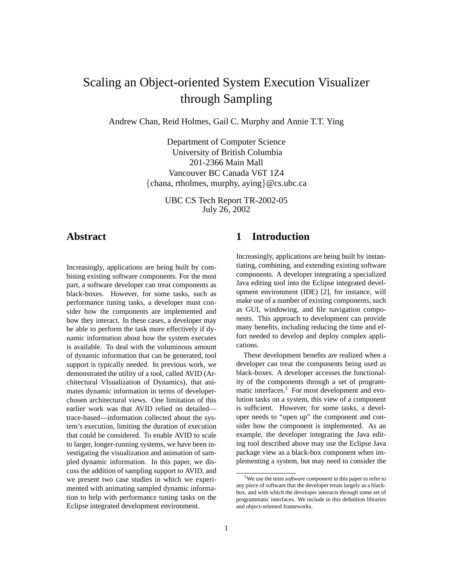# Scaling an Object-oriented System Execution Visualizer through Sampling

Andrew Chan, Reid Holmes, Gail C. Murphy and Annie T.T. Ying

Department of Computer Science University of British Columbia 201-2366 Main Mall Vancouver BC Canada V6T 1Z4  ${\text{chana, rholmes, Murphy, aying}}@cs.ubc.ca$ 

> UBC CS Tech Report TR-2002-05 July 26, 2002

# **Abstract**

Increasingly, applications are being built by combining existing software components. For the most part, a software developer can treat components as black-boxes. However, for some tasks, such as performance tuning tasks, a developer must consider how the components are implemented and how they interact. In these cases, a developer may be able to perform the task more effectively if dynamic information about how the system executes is available. To deal with the voluminous amount of dynamic information that can be generated, tool support is typically needed. In previous work, we demonstrated the utility of a tool, called AVID (Architectural VIsualization of Dynamics), that animates dynamic information in terms of developerchosen architectural views. One limitation of this earlier work was that AVID relied on detailed trace-based—information collected about the system's execution, limiting the duration of execution that could be considered. To enable AVID to scale to larger, longer-running systems, we have been investigating the visualization and animation of sampled dynamic information. In this paper, we discuss the addition of sampling support to AVID, and we present two case studies in which we experimented with animating sampled dynamic information to help with performance tuning tasks on the Eclipse integrated development environment.

# **1 Introduction**

Increasingly, applications are being built by instantiating, combining, and extending existing software components. A developer integrating a specialized Java editing tool into the Eclipse integrated development environment (IDE) [2], for instance, will make use of a number of existing components, such as GUI, windowing, and file navigation components. This approach to development can provide many benefits, including reducing the time and effort needed to develop and deploy complex applications.

These development benefits are realized when a developer can treat the components being used as black-boxes. A developer accesses the functionality of the components through a set of programmatic interfaces.<sup>1</sup> For most development and evolution tasks on a system, this view of a component is sufficient. However, for some tasks, a developer needs to "open up" the component and consider how the component is implemented. As an example, the developer integrating the Java editing tool described above may use the Eclipse Java package view as a black-box component when implementing a system, but may need to consider the

<sup>1</sup>We use the term *software component* in this paper to refer to any piece of software that the developer treats largely as a blackbox, and with which the developer interacts through some set of programmatic interfaces. We include in this definition libraries and object-oriented frameworks.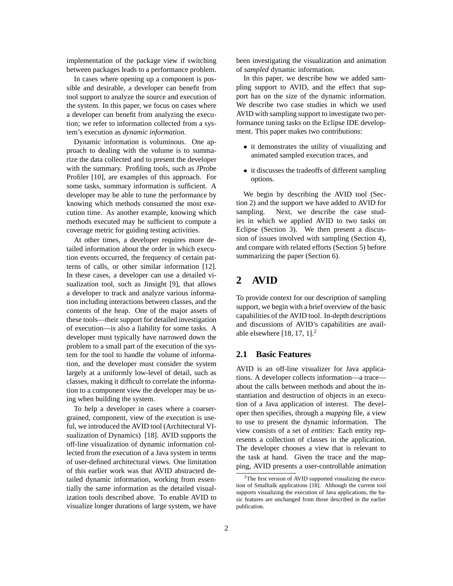implementation of the package view if switching between packages leads to a performance problem.

In cases where opening up a component is possible and desirable, a developer can benefit from tool support to analyze the source and execution of the system. In this paper, we focus on cases where a developer can benefit from analyzing the execution; we refer to information collected from a system's execution as *dynamic information*.

Dynamic information is voluminous. One approach to dealing with the volume is to summarize the data collected and to present the developer with the summary. Profiling tools, such as JProbe Profiler [10], are examples of this approach. For some tasks, summary information is sufficient. A developer may be able to tune the performance by knowing which methods consumed the most execution time. As another example, knowing which methods executed may be sufficient to compute a coverage metric for guiding testing activities.

At other times, a developer requires more detailed information about the order in which execution events occurred, the frequency of certain patterns of calls, or other similar information [12]. In these cases, a developer can use a detailed visualization tool, such as Jinsight [9], that allows a developer to track and analyze various information including interactions between classes, and the contents of the heap. One of the major assets of these tools—their support for detailed investigation of execution—is also a liability for some tasks. A developer must typically have narrowed down the problem to a small part of the execution of the system for the tool to handle the volume of information, and the developer must consider the system largely at a uniformly low-level of detail, such as classes, making it difficult to correlate the information to a component view the developer may be using when building the system.

To help a developer in cases where a coarsergrained, component, view of the execution is useful, we introduced the AVID tool (Architectural VIsualization of Dynamics) [18]. AVID supports the off-line visualization of dynamic information collected from the execution of a Java system in terms of user-defined architectural views. One limitation of this earlier work was that AVID abstracted detailed dynamic information, working from essentially the same information as the detailed visualization tools described above. To enable AVID to visualize longer durations of large system, we have been investigating the visualization and animation of *sampled* dynamic information.

In this paper, we describe how we added sampling support to AVID, and the effect that support has on the size of the dynamic information. We describe two case studies in which we used AVID with sampling support to investigate two performance tuning tasks on the Eclipse IDE development. This paper makes two contributions:

- it demonstrates the utility of visualizing and animated sampled execution traces, and
- it discusses the tradeoffs of different sampling options.

We begin by describing the AVID tool (Section 2) and the support we have added to AVID for sampling. Next, we describe the case studies in which we applied AVID to two tasks on Eclipse (Section 3). We then present a discussion of issues involved with sampling (Section 4), and compare with related efforts (Section 5) before summarizing the paper (Section 6).

# **2 AVID**

To provide context for our description of sampling support, we begin with a brief overview of the basic capabilities of the AVID tool. In-depth descriptions and discussions of AVID's capabilities are available elsewhere  $[18, 17, 1]$ .<sup>2</sup>

### **2.1 Basic Features**

AVID is an off-line visualizer for Java applications. A developer collects information—a trace about the calls between methods and about the instantiation and destruction of objects in an execution of a Java application of interest. The developer then specifies, through a *mapping* file, a view to use to present the dynamic information. The view consists of a set of *entities*: Each entity represents a collection of classes in the application. The developer chooses a view that is relevant to the task at hand. Given the trace and the mapping, AVID presents a user-controllable animation

<sup>&</sup>lt;sup>2</sup>The first version of AVID supported visualizing the execution of Smalltalk applications [18]. Although the current tool supports visualizing the execution of Java applications, the basic features are unchanged from those described in the earlier publication.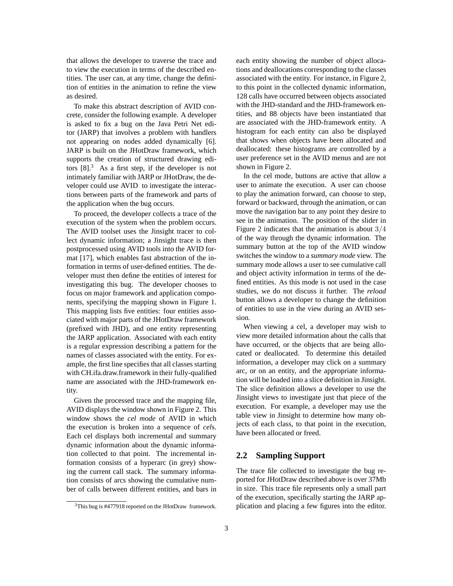that allows the developer to traverse the trace and to view the execution in terms of the described entities. The user can, at any time, change the definition of entities in the animation to refine the view as desired.

To make this abstract description of AVID concrete, consider the following example. A developer is asked to fix a bug on the Java Petri Net editor (JARP) that involves a problem with handlers not appearing on nodes added dynamically [6]. JARP is built on the JHotDraw framework, which supports the creation of structured drawing editors  $[8]$ <sup>3</sup>. As a first step, if the developer is not intimately familiar with JARP or JHotDraw, the developer could use AVID to investigate the interactions between parts of the framework and parts of the application when the bug occurs.

To proceed, the developer collects a trace of the execution of the system when the problem occurs. The AVID toolset uses the Jinsight tracer to collect dynamic information; a Jinsight trace is then postprocessed using AVID tools into the AVID format [17], which enables fast abstraction of the information in terms of user-defined entities. The developer must then define the entities of interest for investigating this bug. The developer chooses to focus on major framework and application components, specifying the mapping shown in Figure 1. This mapping lists five entities: four entities associated with major parts of the JHotDraw framework (prefixed with JHD), and one entity representing the JARP application. Associated with each entity is a regular expression describing a pattern for the names of classes associated with the entity. For example, the first line specifies that all classes starting with CH.ifa.draw.framework in their fully-qualified name are associated with the JHD-framework entity.

Given the processed trace and the mapping file, AVID displays the window shown in Figure 2. This window shows the *cel mode* of AVID in which the execution is broken into a sequence of *cel*s. Each cel displays both incremental and summary dynamic information about the dynamic information collected to that point. The incremental information consists of a hyperarc (in grey) showing the current call stack. The summary information consists of arcs showing the cumulative number of calls between different entities, and bars in each entity showing the number of object allocations and deallocations corresponding to the classes associated with the entity. For instance, in Figure 2, to this point in the collected dynamic information, 128 calls have occurred between objects associated with the JHD-standard and the JHD-framework entities, and 88 objects have been instantiated that are associated with the JHD-framework entity. A histogram for each entity can also be displayed that shows when objects have been allocated and deallocated: these histograms are controlled by a user preference set in the AVID menus and are not shown in Figure 2.

In the cel mode, buttons are active that allow a user to animate the execution. A user can choose to play the animation forward, can choose to step, forward or backward, through the animation, or can move the navigation bar to any point they desire to see in the animation. The position of the slider in Figure 2 indicates that the animation is about 3/4 of the way through the dynamic information. The summary button at the top of the AVID window switches the window to a *summary mode* view. The summary mode allows a user to see cumulative call and object activity information in terms of the defined entities. As this mode is not used in the case studies, we do not discuss it further. The *reload* button allows a developer to change the definition of entities to use in the view during an AVID session.

When viewing a cel, a developer may wish to view more detailed information about the calls that have occurred, or the objects that are being allocated or deallocated. To determine this detailed information, a developer may click on a summary arc, or on an entity, and the appropriate information will be loaded into a slice definition in Jinsight. The slice definition allows a developer to use the Jinsight views to investigate just that piece of the execution. For example, a developer may use the table view in Jinsight to determine how many objects of each class, to that point in the execution, have been allocated or freed.

### **2.2 Sampling Support**

The trace file collected to investigate the bug reported for JHotDraw described above is over 37Mb in size. This trace file represents only a small part of the execution, specifically starting the JARP application and placing a few figures into the editor.

 $3$ This bug is #477918 reported on the JHotDraw framework.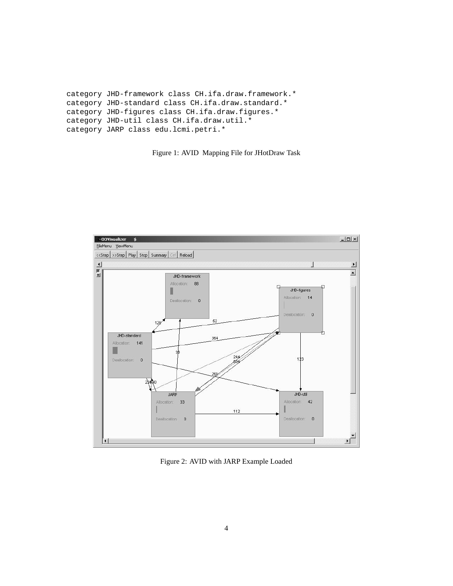```
category JHD-framework class CH.ifa.draw.framework.*
category JHD-standard class CH.ifa.draw.standard.*
category JHD-figures class CH.ifa.draw.figures.*
category JHD-util class CH.ifa.draw.util.*
category JARP class edu.lcmi.petri.*
```
Figure 1: AVID Mapping File for JHotDraw Task



Figure 2: AVID with JARP Example Loaded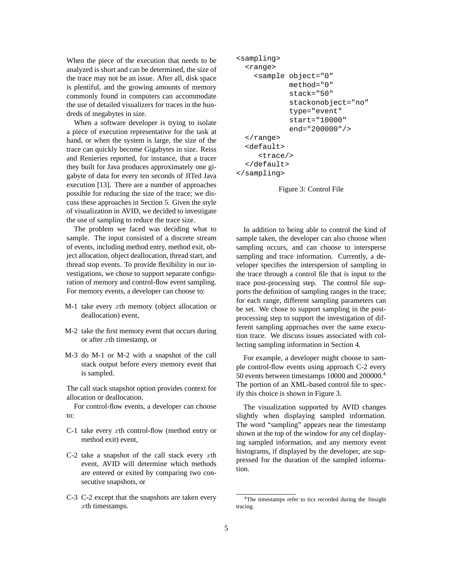When the piece of the execution that needs to be analyzed is short and can be determined, the size of the trace may not be an issue. After all, disk space is plentiful, and the growing amounts of memory commonly found in computers can accommodate the use of detailed visualizers for traces in the hundreds of megabytes in size.

When a software developer is trying to isolate a piece of execution representative for the task at hand, or when the system is large, the size of the trace can quickly become Gigabytes in size. Reiss and Renieries reported, for instance, that a tracer they built for Java produces approximately one gigabyte of data for every ten seconds of JITed Java execution [13]. There are a number of approaches possible for reducing the size of the trace; we discuss these approaches in Section 5. Given the style of visualization in AVID, we decided to investigate the use of sampling to reduce the trace size.

The problem we faced was deciding what to sample. The input consisted of a discrete stream of events, including method entry, method exit, object allocation, object deallocation, thread start, and thread stop events. To provide flexibility in our investigations, we chose to support separate configuration of memory and control-flow event sampling. For memory events, a developer can choose to:

- $M-1$  take every xth memory (object allocation or deallocation) event,
- M-2 take the first memory event that occurs during or after xth timestamp, or
- M-3 do M-1 or M-2 with a snapshot of the call stack output before every memory event that is sampled.

The call stack snapshot option provides context for allocation or deallocation.

For control-flow events, a developer can choose to:

- C-1 take every  $x$ th control-flow (method entry or method exit) event,
- C-2 take a snapshot of the call stack every  $x$ th event, AVID will determine which methods are entered or exited by comparing two consecutive snapshots, or
- C-3 C-2 except that the snapshots are taken every xth timestamps.

```
<sampling>
  <range>
    <sample object="0"
            method="0"
            stack="50"
            stackonobject="no"
            type="event"
            start="10000"
            end="200000"/>
  </range>
  <default>
     <trace/>
  </default>
</sampling>
```
#### Figure 3: Control File

In addition to being able to control the kind of sample taken, the developer can also choose when sampling occurs, and can choose to intersperse sampling and trace information. Currently, a developer specifies the interspersion of sampling in the trace through a control file that is input to the trace post-processing step. The control file supports the definition of sampling ranges in the trace; for each range, different sampling parameters can be set. We chose to support sampling in the postprocessing step to support the investigation of different sampling approaches over the same execution trace. We discuss issues associated with collecting sampling information in Section 4.

For example, a developer might choose to sample control-flow events using approach C-2 every 50 events between timestamps 10000 and 200000.<sup>4</sup> The portion of an XML-based control file to specify this choice is shown in Figure 3.

The visualization supported by AVID changes slightly when displaying sampled information. The word "sampling" appears near the timestamp shown at the top of the window for any cel displaying sampled information, and any memory event histograms, if displayed by the developer, are suppressed for the duration of the sampled information.

<sup>4</sup>The timestamps refer to tics recorded during the Jinsight tracing.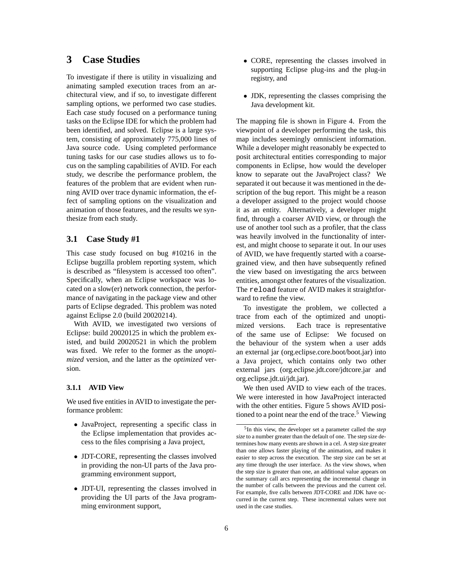# **3 Case Studies**

To investigate if there is utility in visualizing and animating sampled execution traces from an architectural view, and if so, to investigate different sampling options, we performed two case studies. Each case study focused on a performance tuning tasks on the Eclipse IDE for which the problem had been identified, and solved. Eclipse is a large system, consisting of approximately 775,000 lines of Java source code. Using completed performance tuning tasks for our case studies allows us to focus on the sampling capabilities of AVID. For each study, we describe the performance problem, the features of the problem that are evident when running AVID over trace dynamic information, the effect of sampling options on the visualization and animation of those features, and the results we synthesize from each study.

### **3.1 Case Study #1**

This case study focused on bug #10216 in the Eclipse bugzilla problem reporting system, which is described as "filesystem is accessed too often". Specifically, when an Eclipse workspace was located on a slow(er) network connection, the performance of navigating in the package view and other parts of Eclipse degraded. This problem was noted against Eclipse 2.0 (build 20020214).

With AVID, we investigated two versions of Eclipse: build 20020125 in which the problem existed, and build 20020521 in which the problem was fixed. We refer to the former as the *unoptimized* version, and the latter as the *optimized* version.

#### **3.1.1 AVID View**

We used five entities in AVID to investigate the performance problem:

- JavaProject, representing a specific class in the Eclipse implementation that provides access to the files comprising a Java project,
- JDT-CORE, representing the classes involved in providing the non-UI parts of the Java programming environment support,
- JDT-UI, representing the classes involved in providing the UI parts of the Java programming environment support,
- CORE, representing the classes involved in supporting Eclipse plug-ins and the plug-in registry, and
- JDK, representing the classes comprising the Java development kit.

The mapping file is shown in Figure 4. From the viewpoint of a developer performing the task, this map includes seemingly omniscient information. While a developer might reasonably be expected to posit architectural entities corresponding to major components in Eclipse, how would the developer know to separate out the JavaProject class? We separated it out because it was mentioned in the description of the bug report. This might be a reason a developer assigned to the project would choose it as an entity. Alternatively, a developer might find, through a coarser AVID view, or through the use of another tool such as a profiler, that the class was heavily involved in the functionality of interest, and might choose to separate it out. In our uses of AVID, we have frequently started with a coarsegrained view, and then have subsequently refined the view based on investigating the arcs between entities, amongst other features of the visualization. The reload feature of AVID makes it straightforward to refine the view.

To investigate the problem, we collected a trace from each of the optimized and unoptimized versions. Each trace is representative of the same use of Eclipse: We focused on the behaviour of the system when a user adds an external jar (org.eclipse.core.boot/boot.jar) into a Java project, which contains only two other external jars (org.eclipse.jdt.core/jdtcore.jar and org.eclipse.jdt.ui/jdt.jar).

We then used AVID to view each of the traces. We were interested in how JavaProject interacted with the other entities. Figure 5 shows AVID positioned to a point near the end of the trace.<sup>5</sup> Viewing

<sup>5</sup> In this view, the developer set a parameter called the *step size* to a number greater than the default of one. The step size determines how many events are shown in a cel. A step size greater than one allows faster playing of the animation, and makes it easier to step across the execution. The step size can be set at any time through the user interface. As the view shows, when the step size is greater than one, an additional value appears on the summary call arcs representing the incremental change in the number of calls between the previous and the current cel. For example, five calls between JDT-CORE and JDK have occurred in the current step. These incremental values were not used in the case studies.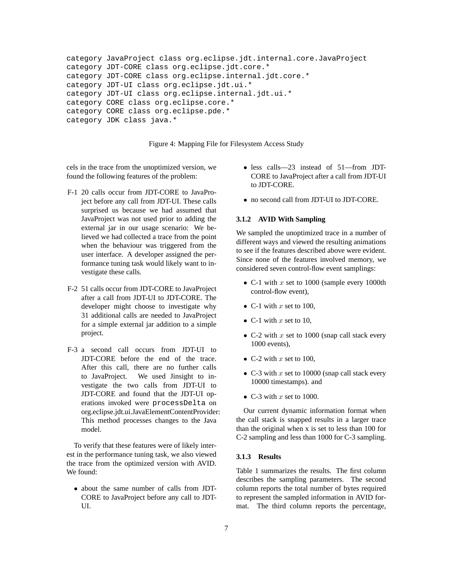```
category JavaProject class org.eclipse.jdt.internal.core.JavaProject
category JDT-CORE class org.eclipse.jdt.core.*
category JDT-CORE class org.eclipse.internal.jdt.core.*
category JDT-UI class org.eclipse.jdt.ui.*
category JDT-UI class org.eclipse.internal.jdt.ui.*
category CORE class org.eclipse.core.*
category CORE class org.eclipse.pde.*
category JDK class java.*
```
Figure 4: Mapping File for Filesystem Access Study

cels in the trace from the unoptimized version, we found the following features of the problem:

- F-1 20 calls occur from JDT-CORE to JavaProject before any call from JDT-UI. These calls surprised us because we had assumed that JavaProject was not used prior to adding the external jar in our usage scenario: We believed we had collected a trace from the point when the behaviour was triggered from the user interface. A developer assigned the performance tuning task would likely want to investigate these calls.
- F-2 51 calls occur from JDT-CORE to JavaProject after a call from JDT-UI to JDT-CORE. The developer might choose to investigate why 31 additional calls are needed to JavaProject for a simple external jar addition to a simple project.
- F-3 a second call occurs from JDT-UI to JDT-CORE before the end of the trace. After this call, there are no further calls to JavaProject. We used Jinsight to investigate the two calls from JDT-UI to JDT-CORE and found that the JDT-UI operations invoked were processDelta on org.eclipse.jdt.ui.JavaElementContentProvider: This method processes changes to the Java model.

To verify that these features were of likely interest in the performance tuning task, we also viewed the trace from the optimized version with AVID. We found:

• about the same number of calls from JDT-CORE to JavaProject before any call to JDT-UI.

- less calls—23 instead of 51—from JDT-CORE to JavaProject after a call from JDT-UI to JDT-CORE.
- no second call from JDT-UI to JDT-CORE.

#### **3.1.2 AVID With Sampling**

We sampled the unoptimized trace in a number of different ways and viewed the resulting animations to see if the features described above were evident. Since none of the features involved memory, we considered seven control-flow event samplings:

- C-1 with  $x$  set to 1000 (sample every 1000th control-flow event),
- C-1 with  $x$  set to 100,
- C-1 with  $x$  set to 10,
- C-2 with x set to 1000 (snap call stack every 1000 events),
- C-2 with  $x$  set to 100,
- C-3 with  $x$  set to 10000 (snap call stack every 10000 timestamps). and
- C-3 with x set to 1000.

Our current dynamic information format when the call stack is snapped results in a larger trace than the original when x is set to less than 100 for C-2 sampling and less than 1000 for C-3 sampling.

#### **3.1.3 Results**

Table 1 summarizes the results. The first column describes the sampling parameters. The second column reports the total number of bytes required to represent the sampled information in AVID format. The third column reports the percentage,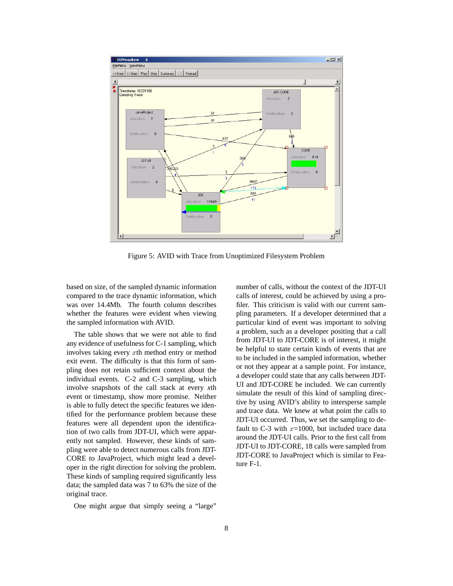

Figure 5: AVID with Trace from Unoptimized Filesystem Problem

based on size, of the sampled dynamic information compared to the trace dynamic information, which was over 14.4Mb. The fourth column describes whether the features were evident when viewing the sampled information with AVID.

The table shows that we were not able to find any evidence of usefulness for C-1 sampling, which involves taking every xth method entry or method exit event. The difficulty is that this form of sampling does not retain sufficient context about the individual events. C-2 and C-3 sampling, which involve snapshots of the call stack at every *x*th event or timestamp, show more promise. Neither is able to fully detect the specific features we identified for the performance problem because these features were all dependent upon the identification of two calls from JDT-UI, which were apparently not sampled. However, these kinds of sampling were able to detect numerous calls from JDT-CORE to JavaProject, which might lead a developer in the right direction for solving the problem. These kinds of sampling required significantly less data; the sampled data was 7 to 63% the size of the original trace.

One might argue that simply seeing a "large"

number of calls, without the context of the JDT-UI calls of interest, could be achieved by using a profiler. This criticism is valid with our current sampling parameters. If a developer determined that a particular kind of event was important to solving a problem, such as a developer positing that a call from JDT-UI to JDT-CORE is of interest, it might be helpful to state certain kinds of events that are to be included in the sampled information, whether or not they appear at a sample point. For instance, a developer could state that any calls between JDT-UI and JDT-CORE be included. We can currently simulate the result of this kind of sampling directive by using AVID's ability to intersperse sample and trace data. We knew at what point the calls to JDT-UI occurred. Thus, we set the sampling to default to C-3 with  $x=1000$ , but included trace data around the JDT-UI calls. Prior to the first call from JDT-UI to JDT-CORE, 18 calls were sampled from JDT-CORE to JavaProject which is similar to Feature F-1.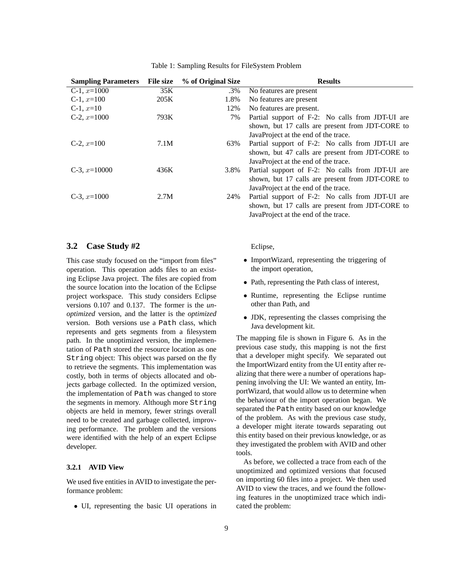| <b>Sampling Parameters</b> | <b>File size</b> | % of Original Size | <b>Results</b>                                   |
|----------------------------|------------------|--------------------|--------------------------------------------------|
| C-1, $x=1000$              | 35K              | .3%                | No features are present                          |
| C-1, $x=100$               | 205K             | 1.8%               | No features are present                          |
| $C-1, x=10$                |                  | 12%                | No features are present.                         |
| C-2, $x=1000$              | 793K             | 7%                 | Partial support of F-2: No calls from JDT-UI are |
|                            |                  |                    | shown, but 17 calls are present from JDT-CORE to |
|                            |                  |                    | JavaProject at the end of the trace.             |
| C-2, $x=100$               | 7.1M             | 63%                | Partial support of F-2: No calls from JDT-UI are |
|                            |                  |                    | shown, but 47 calls are present from JDT-CORE to |
|                            |                  |                    | JavaProject at the end of the trace.             |
| C-3, $x=10000$             | 436K             | 3.8%               | Partial support of F-2: No calls from JDT-UI are |
|                            |                  |                    | shown, but 17 calls are present from JDT-CORE to |
|                            |                  |                    | JavaProject at the end of the trace.             |
| $C-3, x=1000$              | 2.7M             | 24%                | Partial support of F-2: No calls from JDT-UI are |
|                            |                  |                    | shown, but 17 calls are present from JDT-CORE to |
|                            |                  |                    | JavaProject at the end of the trace.             |

|  |  | Table 1: Sampling Results for FileSystem Problem |  |
|--|--|--------------------------------------------------|--|
|  |  |                                                  |  |

#### **3.2 Case Study #2**

This case study focused on the "import from files" operation. This operation adds files to an existing Eclipse Java project. The files are copied from the source location into the location of the Eclipse project workspace. This study considers Eclipse versions 0.107 and 0.137. The former is the *unoptimized* version, and the latter is the *optimized* version. Both versions use a Path class, which represents and gets segments from a filesystem path. In the unoptimized version, the implementation of Path stored the resource location as one String object: This object was parsed on the fly to retrieve the segments. This implementation was costly, both in terms of objects allocated and objects garbage collected. In the optimized version, the implementation of Path was changed to store the segments in memory. Although more String objects are held in memory, fewer strings overall need to be created and garbage collected, improving performance. The problem and the versions were identified with the help of an expert Eclipse developer.

#### **3.2.1 AVID View**

We used five entities in AVID to investigate the performance problem:

• UI, representing the basic UI operations in

#### Eclipse,

- ImportWizard, representing the triggering of the import operation,
- Path, representing the Path class of interest,
- Runtime, representing the Eclipse runtime other than Path, and
- JDK, representing the classes comprising the Java development kit.

The mapping file is shown in Figure 6. As in the previous case study, this mapping is not the first that a developer might specify. We separated out the ImportWizard entity from the UI entity after realizing that there were a number of operations happening involving the UI: We wanted an entity, ImportWizard, that would allow us to determine when the behaviour of the import operation began. We separated the Path entity based on our knowledge of the problem. As with the previous case study, a developer might iterate towards separating out this entity based on their previous knowledge, or as they investigated the problem with AVID and other tools.

As before, we collected a trace from each of the unoptimized and optimized versions that focused on importing 60 files into a project. We then used AVID to view the traces, and we found the following features in the unoptimized trace which indicated the problem: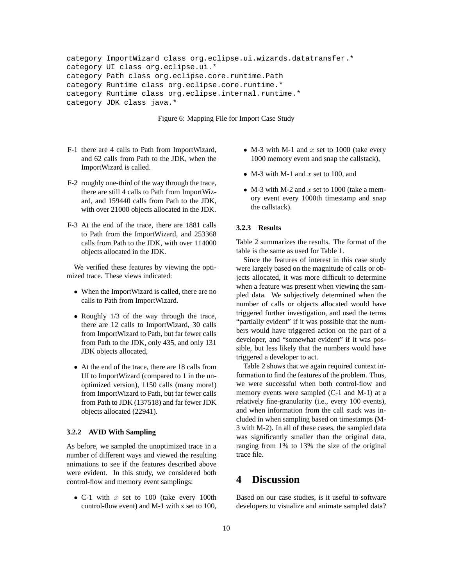```
category ImportWizard class org.eclipse.ui.wizards.datatransfer.*
category UI class org.eclipse.ui.*
category Path class org.eclipse.core.runtime.Path
category Runtime class org.eclipse.core.runtime.*
category Runtime class org.eclipse.internal.runtime.*
category JDK class java.*
```
Figure 6: Mapping File for Import Case Study

- F-1 there are 4 calls to Path from ImportWizard, and 62 calls from Path to the JDK, when the ImportWizard is called.
- F-2 roughly one-third of the way through the trace, there are still 4 calls to Path from ImportWizard, and 159440 calls from Path to the JDK, with over 21000 objects allocated in the JDK.
- F-3 At the end of the trace, there are 1881 calls to Path from the ImportWizard, and 253368 calls from Path to the JDK, with over 114000 objects allocated in the JDK.

We verified these features by viewing the optimized trace. These views indicated:

- When the ImportWizard is called, there are no calls to Path from ImportWizard.
- Roughly 1/3 of the way through the trace, there are 12 calls to ImportWizard, 30 calls from ImportWizard to Path, but far fewer calls from Path to the JDK, only 435, and only 131 JDK objects allocated,
- At the end of the trace, there are 18 calls from UI to ImportWizard (compared to 1 in the unoptimized version), 1150 calls (many more!) from ImportWizard to Path, but far fewer calls from Path to JDK (137518) and far fewer JDK objects allocated (22941).

#### **3.2.2 AVID With Sampling**

As before, we sampled the unoptimized trace in a number of different ways and viewed the resulting animations to see if the features described above were evident. In this study, we considered both control-flow and memory event samplings:

• C-1 with  $x$  set to 100 (take every 100th control-flow event) and M-1 with x set to 100,

- M-3 with M-1 and  $x$  set to 1000 (take every 1000 memory event and snap the callstack),
- M-3 with M-1 and x set to 100, and
- M-3 with M-2 and x set to 1000 (take a memory event every 1000th timestamp and snap the callstack).

#### **3.2.3 Results**

Table 2 summarizes the results. The format of the table is the same as used for Table 1.

Since the features of interest in this case study were largely based on the magnitude of calls or objects allocated, it was more difficult to determine when a feature was present when viewing the sampled data. We subjectively determined when the number of calls or objects allocated would have triggered further investigation, and used the terms "partially evident" if it was possible that the numbers would have triggered action on the part of a developer, and "somewhat evident" if it was possible, but less likely that the numbers would have triggered a developer to act.

Table 2 shows that we again required context information to find the features of the problem. Thus, we were successful when both control-flow and memory events were sampled (C-1 and M-1) at a relatively fine-granularity (i.e., every 100 events), and when information from the call stack was included in when sampling based on timestamps (M-3 with M-2). In all of these cases, the sampled data was significantly smaller than the original data, ranging from 1% to 13% the size of the original trace file.

# **4 Discussion**

Based on our case studies, is it useful to software developers to visualize and animate sampled data?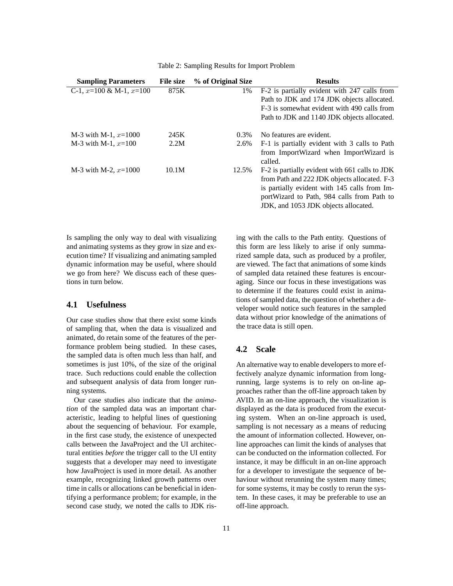| <b>Sampling Parameters</b>    | <b>File size</b> | % of Original Size | <b>Results</b>                                                                                                                                                                               |
|-------------------------------|------------------|--------------------|----------------------------------------------------------------------------------------------------------------------------------------------------------------------------------------------|
| C-1, $x=100 \& M-1$ , $x=100$ | 875K             | 1%                 | F-2 is partially evident with 247 calls from                                                                                                                                                 |
|                               |                  |                    | Path to JDK and 174 JDK objects allocated.                                                                                                                                                   |
|                               |                  |                    | F-3 is somewhat evident with 490 calls from                                                                                                                                                  |
|                               |                  |                    | Path to JDK and 1140 JDK objects allocated.                                                                                                                                                  |
| M-3 with M-1, $x=1000$        | 245K             | $0.3\%$            | No features are evident.                                                                                                                                                                     |
| M-3 with M-1, $x=100$         | 2.2M             | 2.6%               | F-1 is partially evident with 3 calls to Path<br>from ImportWizard when ImportWizard is<br>called.                                                                                           |
| M-3 with M-2, $x=1000$        | 10.1M            | 12.5%              | F-2 is partially evident with 661 calls to JDK<br>from Path and 222 JDK objects allocated. F-3<br>is partially evident with 145 calls from Im-<br>portWizard to Path, 984 calls from Path to |

Table 2: Sampling Results for Import Problem

Is sampling the only way to deal with visualizing and animating systems as they grow in size and execution time? If visualizing and animating sampled dynamic information may be useful, where should we go from here? We discuss each of these questions in turn below.

### **4.1 Usefulness**

Our case studies show that there exist some kinds of sampling that, when the data is visualized and animated, do retain some of the features of the performance problem being studied. In these cases, the sampled data is often much less than half, and sometimes is just 10%, of the size of the original trace. Such reductions could enable the collection and subsequent analysis of data from longer running systems.

Our case studies also indicate that the *animation* of the sampled data was an important characteristic, leading to helpful lines of questioning about the sequencing of behaviour. For example, in the first case study, the existence of unexpected calls between the JavaProject and the UI architectural entities *before* the trigger call to the UI entity suggests that a developer may need to investigate how JavaProject is used in more detail. As another example, recognizing linked growth patterns over time in calls or allocations can be beneficial in identifying a performance problem; for example, in the second case study, we noted the calls to JDK rising with the calls to the Path entity. Questions of this form are less likely to arise if only summarized sample data, such as produced by a profiler, are viewed. The fact that animations of some kinds of sampled data retained these features is encouraging. Since our focus in these investigations was to determine if the features could exist in animations of sampled data, the question of whether a developer would notice such features in the sampled data without prior knowledge of the animations of the trace data is still open.

JDK, and 1053 JDK objects allocated.

### **4.2 Scale**

An alternative way to enable developers to more effectively analyze dynamic information from longrunning, large systems is to rely on on-line approaches rather than the off-line approach taken by AVID. In an on-line approach, the visualization is displayed as the data is produced from the executing system. When an on-line approach is used, sampling is not necessary as a means of reducing the amount of information collected. However, online approaches can limit the kinds of analyses that can be conducted on the information collected. For instance, it may be difficult in an on-line approach for a developer to investigate the sequence of behaviour without rerunning the system many times; for some systems, it may be costly to rerun the system. In these cases, it may be preferable to use an off-line approach.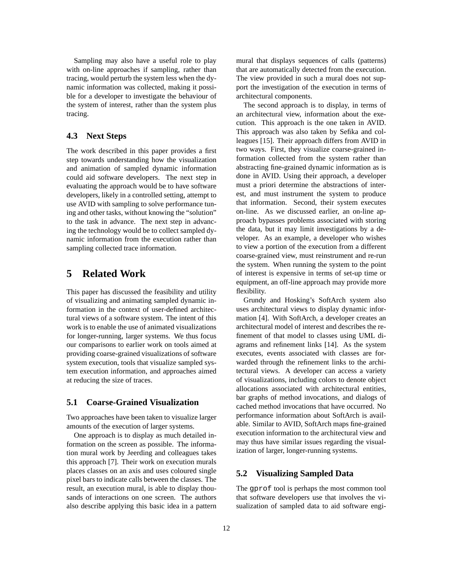Sampling may also have a useful role to play with on-line approaches if sampling, rather than tracing, would perturb the system less when the dynamic information was collected, making it possible for a developer to investigate the behaviour of the system of interest, rather than the system plus tracing.

### **4.3 Next Steps**

The work described in this paper provides a first step towards understanding how the visualization and animation of sampled dynamic information could aid software developers. The next step in evaluating the approach would be to have software developers, likely in a controlled setting, attempt to use AVID with sampling to solve performance tuning and other tasks, without knowing the "solution" to the task in advance. The next step in advancing the technology would be to collect sampled dynamic information from the execution rather than sampling collected trace information.

# **5 Related Work**

This paper has discussed the feasibility and utility of visualizing and animating sampled dynamic information in the context of user-defined architectural views of a software system. The intent of this work is to enable the use of animated visualizations for longer-running, larger systems. We thus focus our comparisons to earlier work on tools aimed at providing coarse-grained visualizations of software system execution, tools that visualize sampled system execution information, and approaches aimed at reducing the size of traces.

### **5.1 Coarse-Grained Visualization**

Two approaches have been taken to visualize larger amounts of the execution of larger systems.

One approach is to display as much detailed information on the screen as possible. The information mural work by Jeerding and colleagues takes this approach [7]. Their work on execution murals places classes on an axis and uses coloured single pixel bars to indicate calls between the classes. The result, an execution mural, is able to display thousands of interactions on one screen. The authors also describe applying this basic idea in a pattern mural that displays sequences of calls (patterns) that are automatically detected from the execution. The view provided in such a mural does not support the investigation of the execution in terms of architectural components.

The second approach is to display, in terms of an architectural view, information about the execution. This approach is the one taken in AVID. This approach was also taken by Sefika and colleagues [15]. Their approach differs from AVID in two ways. First, they visualize coarse-grained information collected from the system rather than abstracting fine-grained dynamic information as is done in AVID. Using their approach, a developer must a priori determine the abstractions of interest, and must instrument the system to produce that information. Second, their system executes on-line. As we discussed earlier, an on-line approach bypasses problems associated with storing the data, but it may limit investigations by a developer. As an example, a developer who wishes to view a portion of the execution from a different coarse-grained view, must reinstrument and re-run the system. When running the system to the point of interest is expensive in terms of set-up time or equipment, an off-line approach may provide more flexibility.

Grundy and Hosking's SoftArch system also uses architectural views to display dynamic information [4]. With SoftArch, a developer creates an architectural model of interest and describes the refinement of that model to classes using UML diagrams and refinement links [14]. As the system executes, events associated with classes are forwarded through the refinement links to the architectural views. A developer can access a variety of visualizations, including colors to denote object allocations associated with architectural entities, bar graphs of method invocations, and dialogs of cached method invocations that have occurred. No performance information about SoftArch is available. Similar to AVID, SoftArch maps fine-grained execution information to the architectural view and may thus have similar issues regarding the visualization of larger, longer-running systems.

### **5.2 Visualizing Sampled Data**

The gprof tool is perhaps the most common tool that software developers use that involves the visualization of sampled data to aid software engi-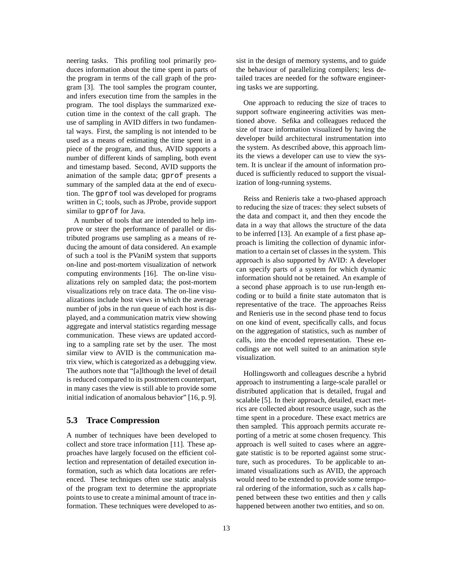neering tasks. This profiling tool primarily produces information about the time spent in parts of the program in terms of the call graph of the program [3]. The tool samples the program counter, and infers execution time from the samples in the program. The tool displays the summarized execution time in the context of the call graph. The use of sampling in AVID differs in two fundamental ways. First, the sampling is not intended to be used as a means of estimating the time spent in a piece of the program, and thus, AVID supports a number of different kinds of sampling, both event and timestamp based. Second, AVID supports the animation of the sample data; gprof presents a summary of the sampled data at the end of execution. The gprof tool was developed for programs written in C; tools, such as JProbe, provide support similar to gprof for Java.

A number of tools that are intended to help improve or steer the performance of parallel or distributed programs use sampling as a means of reducing the amount of data considered. An example of such a tool is the PVaniM system that supports on-line and post-mortem visualization of network computing environments [16]. The on-line visualizations rely on sampled data; the post-mortem visualizations rely on trace data. The on-line visualizations include host views in which the average number of jobs in the run queue of each host is displayed, and a communication matrix view showing aggregate and interval statistics regarding message communication. These views are updated according to a sampling rate set by the user. The most similar view to AVID is the communication matrix view, which is categorized as a debugging view. The authors note that "[a]lthough the level of detail is reduced compared to its postmortem counterpart, in many cases the view is still able to provide some initial indication of anomalous behavior" [16, p. 9].

#### **5.3 Trace Compression**

A number of techniques have been developed to collect and store trace information [11]. These approaches have largely focused on the efficient collection and representation of detailed execution information, such as which data locations are referenced. These techniques often use static analysis of the program text to determine the appropriate points to use to create a minimal amount of trace information. These techniques were developed to assist in the design of memory systems, and to guide the behaviour of parallelizing compilers; less detailed traces are needed for the software engineering tasks we are supporting.

One approach to reducing the size of traces to support software engineering activities was mentioned above. Sefika and colleagues reduced the size of trace information visualized by having the developer build architectural instrumentation into the system. As described above, this approach limits the views a developer can use to view the system. It is unclear if the amount of information produced is sufficiently reduced to support the visualization of long-running systems.

Reiss and Renieris take a two-phased approach to reducing the size of traces: they select subsets of the data and compact it, and then they encode the data in a way that allows the structure of the data to be inferred [13]. An example of a first phase approach is limiting the collection of dynamic information to a certain set of classes in the system. This approach is also supported by AVID: A developer can specify parts of a system for which dynamic information should not be retained. An example of a second phase approach is to use run-length encoding or to build a finite state automaton that is representative of the trace. The approaches Reiss and Renieris use in the second phase tend to focus on one kind of event, specifically calls, and focus on the aggregation of statistics, such as number of calls, into the encoded representation. These encodings are not well suited to an animation style visualization.

Hollingsworth and colleagues describe a hybrid approach to instrumenting a large-scale parallel or distributed application that is detailed, frugal and scalable [5]. In their approach, detailed, exact metrics are collected about resource usage, such as the time spent in a procedure. These exact metrics are then sampled. This approach permits accurate reporting of a metric at some chosen frequency. This approach is well suited to cases where an aggregate statistic is to be reported against some structure, such as procedures. To be applicable to animated visualizations such as AVID, the approach would need to be extended to provide some temporal ordering of the information, such as *x* calls happened between these two entities and then *y* calls happened between another two entities, and so on.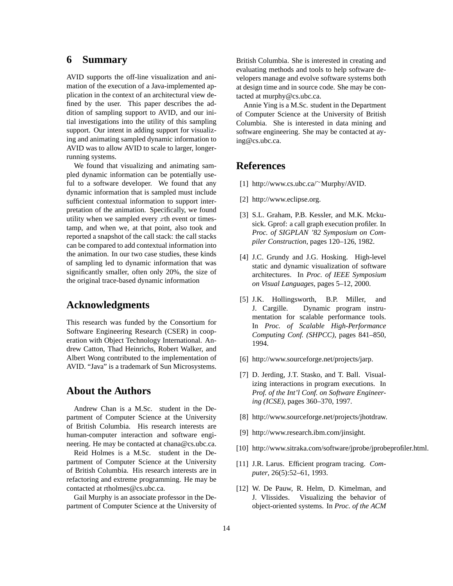### **6 Summary**

AVID supports the off-line visualization and animation of the execution of a Java-implemented application in the context of an architectural view defined by the user. This paper describes the addition of sampling support to AVID, and our initial investigations into the utility of this sampling support. Our intent in adding support for visualizing and animating sampled dynamic information to AVID was to allow AVID to scale to larger, longerrunning systems.

We found that visualizing and animating sampled dynamic information can be potentially useful to a software developer. We found that any dynamic information that is sampled must include sufficient contextual information to support interpretation of the animation. Specifically, we found utility when we sampled every  $x$ th event or timestamp, and when we, at that point, also took and reported a snapshot of the call stack: the call stacks can be compared to add contextual information into the animation. In our two case studies, these kinds of sampling led to dynamic information that was significantly smaller, often only 20%, the size of the original trace-based dynamic information

## **Acknowledgments**

This research was funded by the Consortium for Software Engineering Research (CSER) in cooperation with Object Technology International. Andrew Catton, Thad Heinrichs, Robert Walker, and Albert Wong contributed to the implementation of AVID. "Java" is a trademark of Sun Microsystems.

### **About the Authors**

Andrew Chan is a M.Sc. student in the Department of Computer Science at the University of British Columbia. His research interests are human-computer interaction and software engineering. He may be contacted at chana@cs.ubc.ca.

Reid Holmes is a M.Sc. student in the Department of Computer Science at the University of British Columbia. His research interests are in refactoring and extreme programming. He may be contacted at rtholmes@cs.ubc.ca.

Gail Murphy is an associate professor in the Department of Computer Science at the University of British Columbia. She is interested in creating and evaluating methods and tools to help software developers manage and evolve software systems both at design time and in source code. She may be contacted at murphy@cs.ubc.ca.

Annie Ying is a M.Sc. student in the Department of Computer Science at the University of British Columbia. She is interested in data mining and software engineering. She may be contacted at aying@cs.ubc.ca.

# **References**

- [1] http://www.cs.ubc.ca/<sup>∼</sup>Murphy/AVID.
- [2] http://www.eclipse.org.
- [3] S.L. Graham, P.B. Kessler, and M.K. Mckusick. Gprof: a call graph execution profiler. In *Proc. of SIGPLAN '82 Symposium on Compiler Construction*, pages 120–126, 1982.
- [4] J.C. Grundy and J.G. Hosking. High-level static and dynamic visualization of software architectures. In *Proc. of IEEE Symposium on Visual Languages*, pages 5–12, 2000.
- [5] J.K. Hollingsworth, B.P. Miller, and J. Cargille. Dynamic program instrumentation for scalable performance tools. In *Proc. of Scalable High-Performance Computing Conf. (SHPCC)*, pages 841–850, 1994.
- [6] http://www.sourceforge.net/projects/jarp.
- [7] D. Jerding, J.T. Stasko, and T. Ball. Visualizing interactions in program executions. In *Prof. of the Int'l Conf. on Software Engineering (ICSE)*, pages 360–370, 1997.
- [8] http://www.sourceforge.net/projects/jhotdraw.
- [9] http://www.research.ibm.com/jinsight.
- [10] http://www.sitraka.com/software/jprobe/jprobeprofiler.html.
- [11] J.R. Larus. Efficient program tracing. *Computer*, 26(5):52–61, 1993.
- [12] W. De Pauw, R. Helm, D. Kimelman, and J. Vlissides. Visualizing the behavior of object-oriented systems. In *Proc. of the ACM*